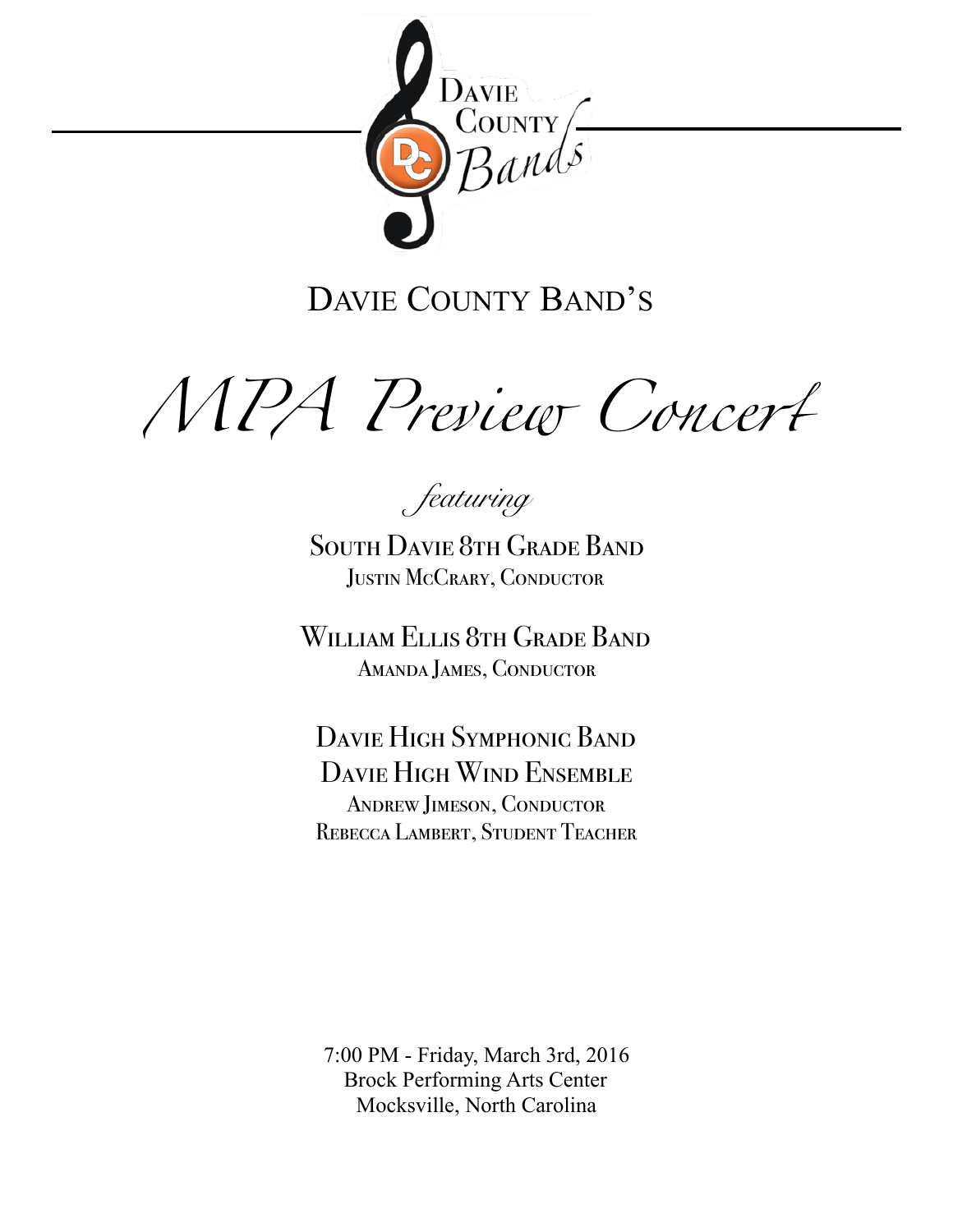

# DAVIE COUNTY BAND'S

*MPA Preview Conce*r

*featuring* 

South Davie 8th Grade Band Justin McCrary, Conductor

William Ellis 8th Grade Band Amanda James, Conductor

Davie High Symphonic Band Davie High Wind Ensemble Andrew Jimeson, Conductor REBECCA LAMBERT, STUDENT TEACHER

7:00 PM - Friday, March 3rd, 2016 Brock Performing Arts Center Mocksville, North Carolina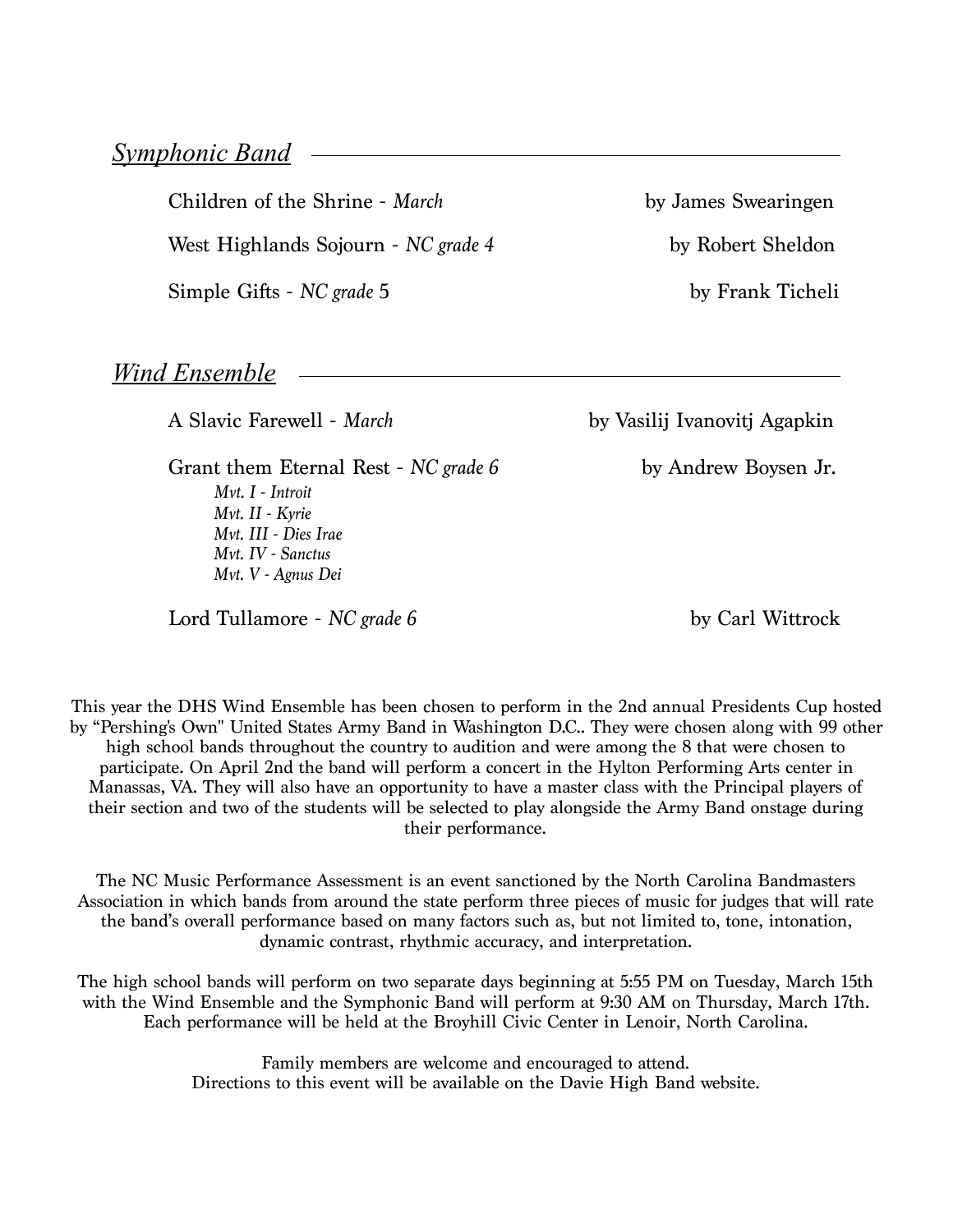Children of the Shrine - *March* by James Swearingen

West Highlands Sojourn - *NC grade 4* by Robert Sheldon

Simple Gifts - *NC grade* 5 by Frank Ticheli

*Wind Ensemble*

Grant them Eternal Rest - *NC grade 6* by Andrew Boysen Jr. *Mvt. I - Introit Mvt. II - Kyrie Mvt. III - Dies Irae Mvt. IV - Sanctus Mvt. V - Agnus Dei* 

Lord Tullamore - *NC grade 6* by Carl Wittrock

A Slavic Farewell - *March* by Vasilij Ivanovitj Agapkin

This year the DHS Wind Ensemble has been chosen to perform in the 2nd annual Presidents Cup hosted by "Pershing's Own" United States Army Band in Washington D.C.. They were chosen along with 99 other high school bands throughout the country to audition and were among the 8 that were chosen to participate. On April 2nd the band will perform a concert in the Hylton Performing Arts center in Manassas, VA. They will also have an opportunity to have a master class with the Principal players of their section and two of the students will be selected to play alongside the Army Band onstage during their performance.

Association in which bands from around the state perform three pieces of music for judges that will rate<br>the band's overall performance based on many factors such as but not limited to tope intenstion The NC Music Performance Assessment is an event sanctioned by the North Carolina Bandmasters the band's overall performance based on many factors such as, but not limited to, tone, intonation, dynamic contrast, rhythmic accuracy, and interpretation.

The high school bands will perform on two separate days beginning at 5:55 PM on Tuesday, March 15th with the Wind Ensemble and the Symphonic Band will perform at 9:30 AM on Thursday, March 17th. Each performance will be held at the Broyhill Civic Center in Lenoir, North Carolina.

> Family members are welcome and encouraged to attend. Directions to this event will be available on the Davie High Band website.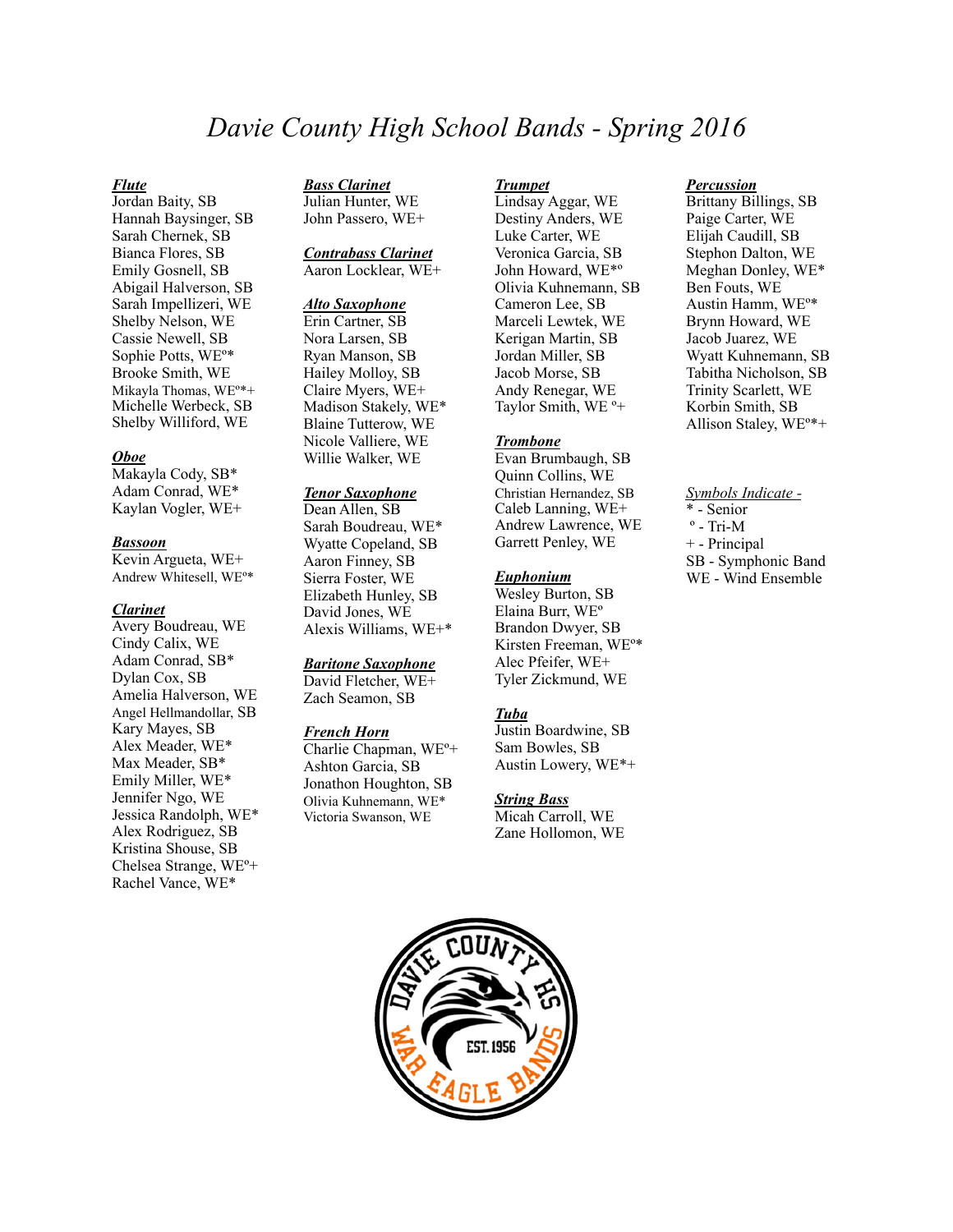### *Davie County High School Bands - Spring 2016*

### *Flute*

Jordan Baity, SB Hannah Baysinger, SB Sarah Chernek, SB Bianca Flores, SB Emily Gosnell, SB Abigail Halverson, SB Sarah Impellizeri, WE Shelby Nelson, WE Cassie Newell, SB Sophie Potts, WEº\* Brooke Smith, WE Mikayla Thomas, WEº\*+ Michelle Werbeck, SB Shelby Williford, WE

### *Oboe*

Makayla Cody, SB\* Adam Conrad, WE\* Kaylan Vogler, WE+

#### *Bassoon*

Kevin Argueta, WE+ Andrew Whitesell, WEº\*

#### *Clarinet*

Avery Boudreau, WE Cindy Calix, WE Adam Conrad, SB\* Dylan Cox, SB Amelia Halverson, WE Angel Hellmandollar, SB Kary Mayes, SB Alex Meader, WE\* Max Meader, SB\* Emily Miller, WE\* Jennifer Ngo, WE Jessica Randolph, WE\* Alex Rodriguez, SB Kristina Shouse, SB Chelsea Strange, WEº+ Rachel Vance, WE\*

*Bass Clarinet*  Julian Hunter, WE

John Passero, WE+

### *Contrabass Clarinet*  Aaron Locklear, WE+

### *Alto Saxophone*

Erin Cartner, SB Nora Larsen, SB Ryan Manson, SB Hailey Molloy, SB Claire Myers, WE+ Madison Stakely, WE\* Blaine Tutterow, WE Nicole Valliere, WE Willie Walker, WE

### *Tenor Saxophone*

Dean Allen, SB Sarah Boudreau, WE\* Wyatte Copeland, SB Aaron Finney, SB Sierra Foster, WE Elizabeth Hunley, SB David Jones, WE Alexis Williams, WE+\*

### *Baritone Saxophone*

David Fletcher, WE+ Zach Seamon, SB

### *French Horn*

Charlie Chapman, WEº+ Ashton Garcia, SB Jonathon Houghton, SB Olivia Kuhnemann, WE\* Victoria Swanson, WE

#### *Trumpet*

Lindsay Aggar, WE Destiny Anders, WE Luke Carter, WE Veronica Garcia, SB John Howard, WE\*º Olivia Kuhnemann, SB Cameron Lee, SB Marceli Lewtek, WE Kerigan Martin, SB Jordan Miller, SB Jacob Morse, SB Andy Renegar, WE Taylor Smith, WE º+

### *Trombone*

Evan Brumbaugh, SB Quinn Collins, WE Christian Hernandez, SB Caleb Lanning, WE+ Andrew Lawrence, WE Garrett Penley, WE

### *Euphonium*

Wesley Burton, SB Elaina Burr, WEº Brandon Dwyer, SB Kirsten Freeman, WEº\* Alec Pfeifer, WE+ Tyler Zickmund, WE

### *Tuba*

Justin Boardwine, SB Sam Bowles, SB Austin Lowery, WE\*+

### *String Bass*

Micah Carroll, WE Zane Hollomon, WE

### *Percussion*

Brittany Billings, SB Paige Carter, WE Elijah Caudill, SB Stephon Dalton, WE Meghan Donley, WE\* Ben Fouts, WE Austin Hamm, WEº\* Brynn Howard, WE Jacob Juarez, WE Wyatt Kuhnemann, SB Tabitha Nicholson, SB Trinity Scarlett, WE Korbin Smith, SB Allison Staley, WEº\*+

*Symbols Indicate -*  \* - Senior  $\circ$  - Tri-M + - Principal SB - Symphonic Band WE - Wind Ensemble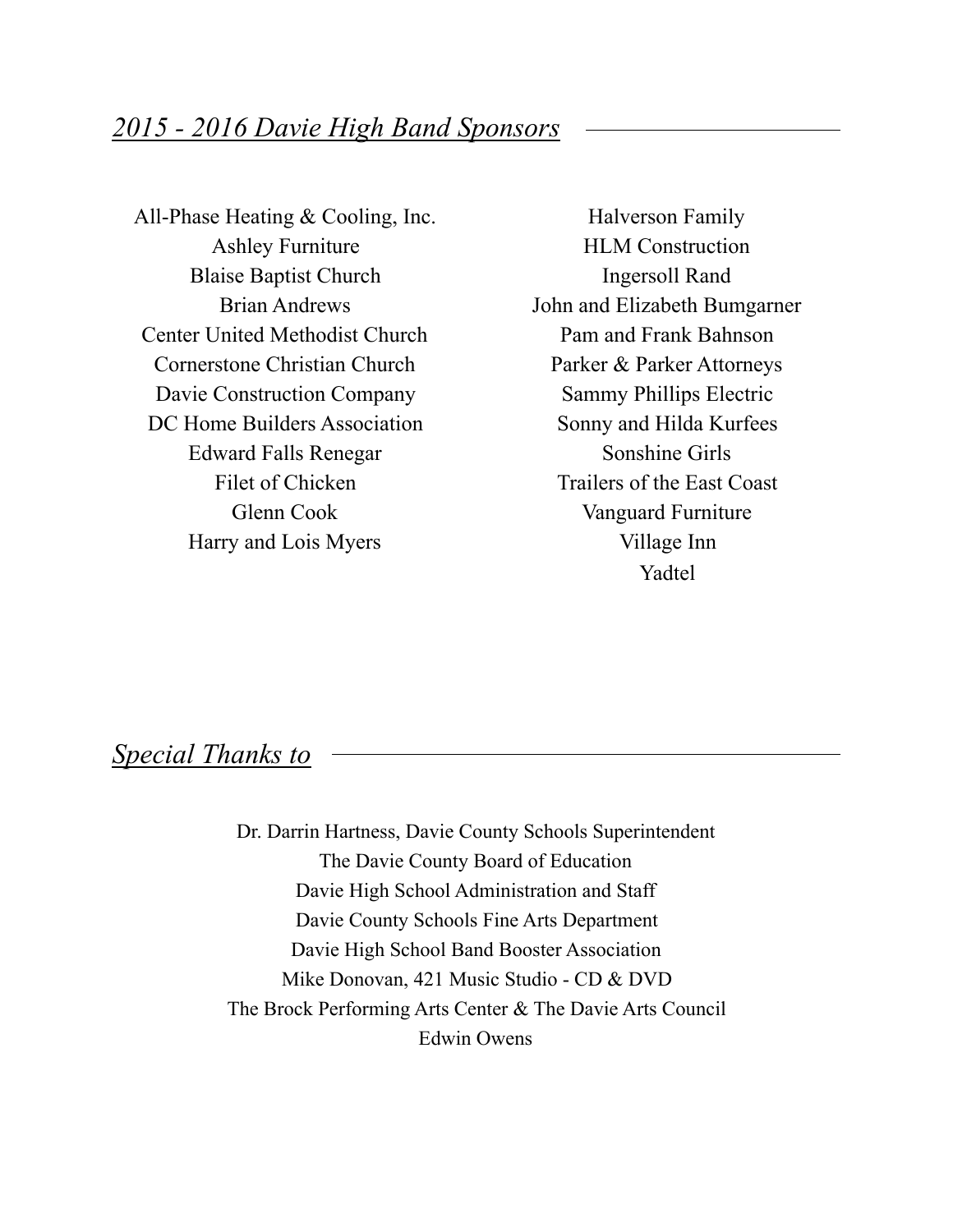All-Phase Heating & Cooling, Inc. Ashley Furniture Blaise Baptist Church Brian Andrews Center United Methodist Church Cornerstone Christian Church Davie Construction Company DC Home Builders Association Edward Falls Renegar Filet of Chicken Glenn Cook Harry and Lois Myers

Halverson Family HLM Construction Ingersoll Rand John and Elizabeth Bumgarner Pam and Frank Bahnson Parker & Parker Attorneys Sammy Phillips Electric Sonny and Hilda Kurfees Sonshine Girls Trailers of the East Coast Vanguard Furniture Village Inn Yadtel

### *Special Thanks to*

Dr. Darrin Hartness, Davie County Schools Superintendent The Davie County Board of Education Davie High School Administration and Staff Davie County Schools Fine Arts Department Davie High School Band Booster Association Mike Donovan, 421 Music Studio - CD & DVD The Brock Performing Arts Center & The Davie Arts Council Edwin Owens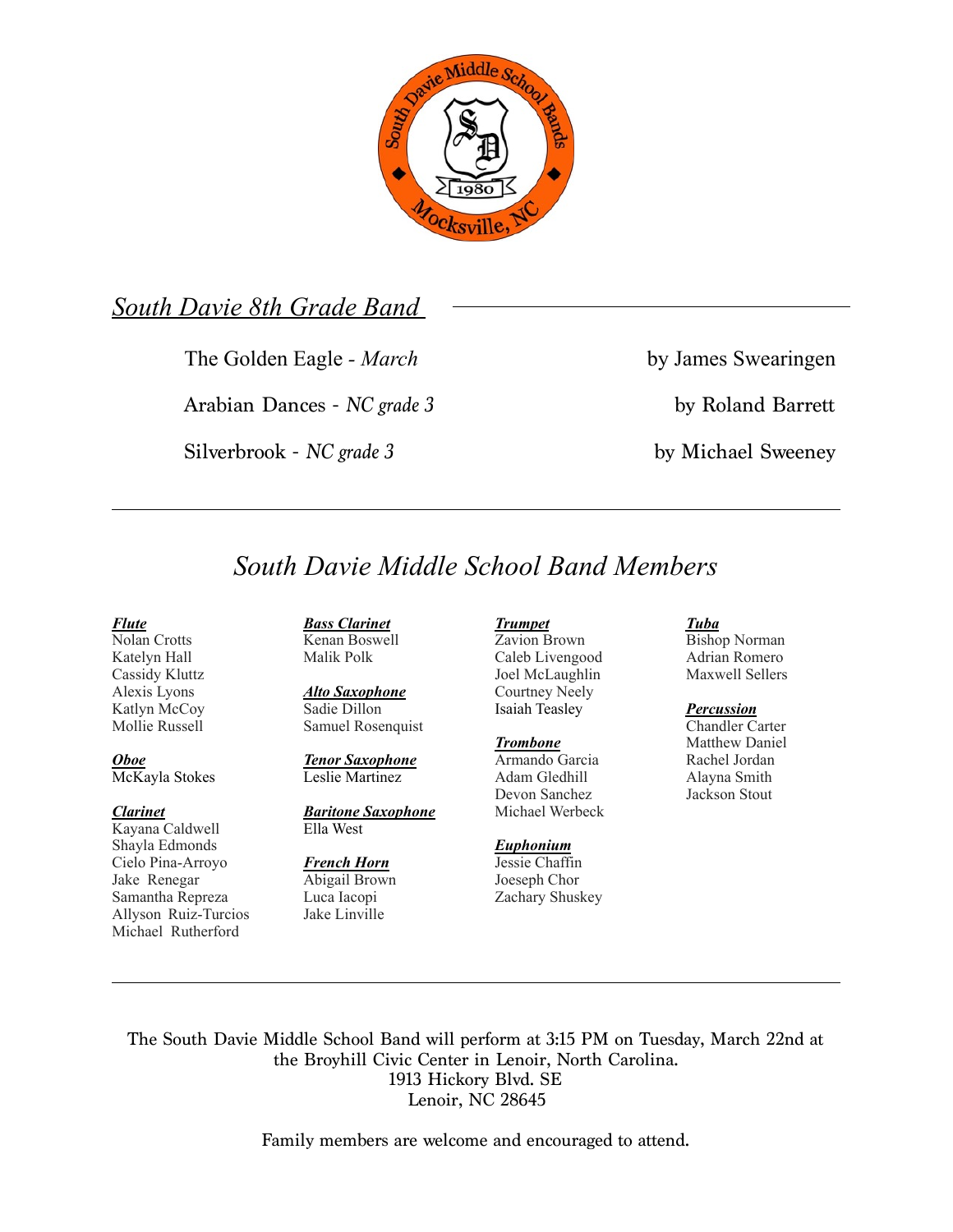

### *South Davie 8th Grade Band*

The Golden Eagle - *March* by James Swearingen

Arabian Dances - *NC grade 3* by Roland Barrett

Silverbrook - *NC grade 3* by Michael Sweeney

# *South Davie Middle School Band Members*

### *Flute*

Nolan Crotts Katelyn Hall Cassidy Kluttz Alexis Lyons Katlyn McCoy Mollie Russell

*Oboe*  McKayla Stokes

### *Clarinet*

Kayana Caldwell Shayla Edmonds Cielo Pina-Arroyo Jake Renegar Samantha Repreza Allyson Ruiz-Turcios Michael Rutherford

*Bass Clarinet*  Kenan Boswell Malik Polk

*Alto Saxophone*  Sadie Dillon Samuel Rosenquist

*Tenor Saxophone*  Leslie Martinez

*Baritone Saxophone*  Ella West

*French Horn*  Abigail Brown Luca Iacopi Jake Linville

### *Trumpet*  Zavion Brown

Caleb Livengood Joel McLaughlin Courtney Neely Isaiah Teasley

*Trombone*  Armando Garcia Adam Gledhill Devon Sanchez Michael Werbeck

### *Euphonium*

Jessie Chaffin Joeseph Chor Zachary Shuskey

### *Tuba*

Bishop Norman Adrian Romero Maxwell Sellers

### *Percussion*

Chandler Carter Matthew Daniel Rachel Jordan Alayna Smith Jackson Stout

The South Davie Middle School Band will perform at 3:15 PM on Tuesday, March 22nd at the Broyhill Civic Center in Lenoir, North Carolina. 1913 Hickory Blvd. SE Lenoir, NC 28645

Family members are welcome and encouraged to attend.